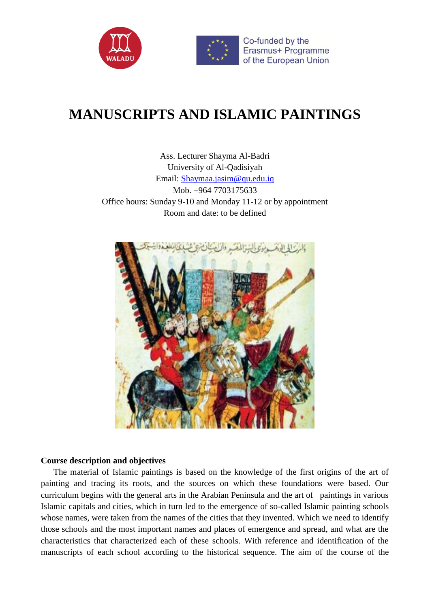



# **MANUSCRIPTS AND ISLAMIC PAINTINGS**

Ass. Lecturer Shayma Al-Badri University of Al-Qadisiyah Email: [Shaymaa.jasim@qu.edu.iq](mailto:Shaymaa.jasim@qu.edu.iq) Mob. +964 7703175633 Office hours: Sunday 9-10 and Monday 11-12 or by appointment Room and date: to be defined



#### **Course description and objectives**

 The material of Islamic paintings is based on the knowledge of the first origins of the art of painting and tracing its roots, and the sources on which these foundations were based. Our curriculum begins with the general arts in the Arabian Peninsula and the art of paintings in various Islamic capitals and cities, which in turn led to the emergence of so-called Islamic painting schools whose names, were taken from the names of the cities that they invented. Which we need to identify those schools and the most important names and places of emergence and spread, and what are the characteristics that characterized each of these schools. With reference and identification of the manuscripts of each school according to the historical sequence. The aim of the course of the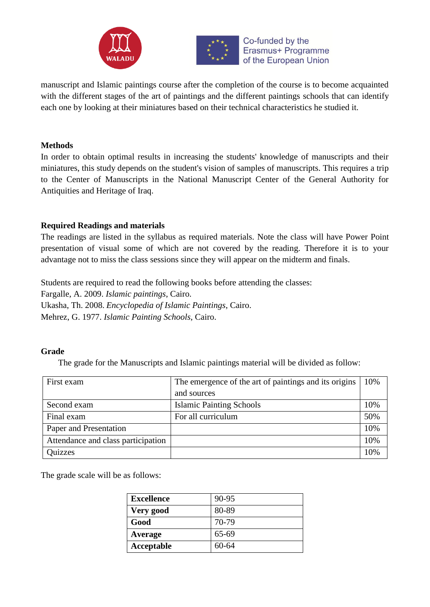



Co-funded by the Erasmus+ Programme of the European Union

manuscript and Islamic paintings course after the completion of the course is to become acquainted with the different stages of the art of paintings and the different paintings schools that can identify each one by looking at their miniatures based on their technical characteristics he studied it.

## **Methods**

In order to obtain optimal results in increasing the students' knowledge of manuscripts and their miniatures, this study depends on the student's vision of samples of manuscripts. This requires a trip to the Center of Manuscripts in the National Manuscript Center of the General Authority for Antiquities and Heritage of Iraq.

## **Required Readings and materials**

The readings are listed in the syllabus as required materials. Note the class will have Power Point presentation of visual some of which are not covered by the reading. Therefore it is to your advantage not to miss the class sessions since they will appear on the midterm and finals.

Students are required to read the following books before attending the classes:

Fargalle, A. 2009. *Islamic paintings*, Cairo.

Ukasha, Th. 2008. *Encyclopedia of Islamic Paintings*, Cairo.

Mehrez, G. 1977. *Islamic Painting Schools*, Cairo.

## **Grade**

The grade for the Manuscripts and Islamic paintings material will be divided as follow:

| First exam                         | The emergence of the art of paintings and its origins | 10% |
|------------------------------------|-------------------------------------------------------|-----|
|                                    | and sources                                           |     |
| Second exam                        | <b>Islamic Painting Schools</b>                       | 10% |
| Final exam                         | For all curriculum                                    | 50% |
| Paper and Presentation             |                                                       | 10% |
| Attendance and class participation |                                                       | 10% |
| <b>Quizzes</b>                     |                                                       | 10% |

The grade scale will be as follows:

| <b>Excellence</b> | 90-95     |
|-------------------|-----------|
| Very good         | 80-89     |
| Good              | 70-79     |
| Average           | 65-69     |
| Acceptable        | $60 - 64$ |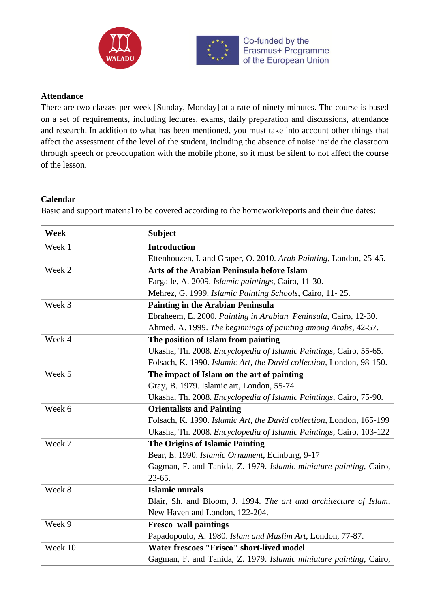



### **Attendance**

There are two classes per week [Sunday, Monday] at a rate of ninety minutes. The course is based on a set of requirements, including lectures, exams, daily preparation and discussions, attendance and research. In addition to what has been mentioned, you must take into account other things that affect the assessment of the level of the student, including the absence of noise inside the classroom through speech or preoccupation with the mobile phone, so it must be silent to not affect the course of the lesson.

#### **Calendar**

Basic and support material to be covered according to the homework/reports and their due dates:

| Week    | <b>Subject</b>                                                       |
|---------|----------------------------------------------------------------------|
| Week 1  | <b>Introduction</b>                                                  |
|         | Ettenhouzen, I. and Graper, O. 2010. Arab Painting, London, 25-45.   |
| Week 2  | Arts of the Arabian Peninsula before Islam                           |
|         | Fargalle, A. 2009. Islamic paintings, Cairo, 11-30.                  |
|         | Mehrez, G. 1999. Islamic Painting Schools, Cairo, 11-25.             |
| Week 3  | <b>Painting in the Arabian Peninsula</b>                             |
|         | Ebraheem, E. 2000. Painting in Arabian Peninsula, Cairo, 12-30.      |
|         | Ahmed, A. 1999. The beginnings of painting among Arabs, 42-57.       |
| Week 4  | The position of Islam from painting                                  |
|         | Ukasha, Th. 2008. Encyclopedia of Islamic Paintings, Cairo, 55-65.   |
|         | Folsach, K. 1990. Islamic Art, the David collection, London, 98-150. |
| Week 5  | The impact of Islam on the art of painting                           |
|         | Gray, B. 1979. Islamic art, London, 55-74.                           |
|         | Ukasha, Th. 2008. Encyclopedia of Islamic Paintings, Cairo, 75-90.   |
| Week 6  | <b>Orientalists and Painting</b>                                     |
|         | Folsach, K. 1990. Islamic Art, the David collection, London, 165-199 |
|         | Ukasha, Th. 2008. Encyclopedia of Islamic Paintings, Cairo, 103-122  |
| Week 7  | <b>The Origins of Islamic Painting</b>                               |
|         | Bear, E. 1990. Islamic Ornament, Edinburg, 9-17                      |
|         | Gagman, F. and Tanida, Z. 1979. Islamic miniature painting, Cairo,   |
|         | 23-65.                                                               |
| Week 8  | <b>Islamic murals</b>                                                |
|         | Blair, Sh. and Bloom, J. 1994. The art and architecture of Islam,    |
|         | New Haven and London, 122-204.                                       |
| Week 9  | <b>Fresco</b> wall paintings                                         |
|         | Papadopoulo, A. 1980. Islam and Muslim Art, London, 77-87.           |
| Week 10 | <b>Water frescoes "Frisco" short-lived model</b>                     |
|         | Gagman, F. and Tanida, Z. 1979. Islamic miniature painting, Cairo,   |